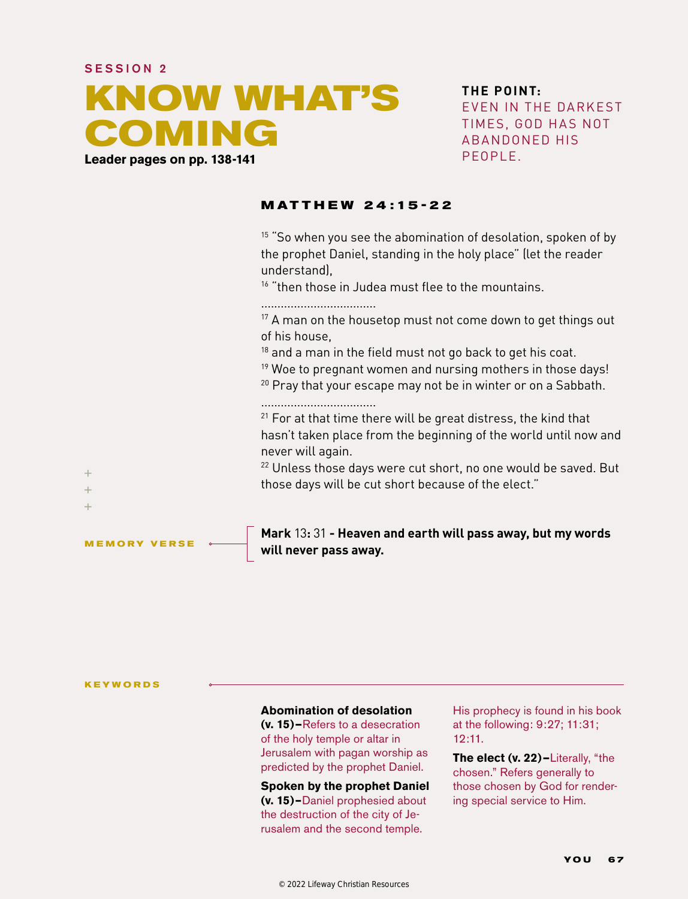# SESSION 2 **KNOW WHAT'S COMING Leader pages on pp. 138-141**

**THE POINT:** EVEN IN THE DARKEST TIMES, GOD HAS NOT ABANDONED HIS PEOPLE.

#### **MAT THEW 24 :15 -22**

<sup>15</sup> "So when you see the abomination of desolation, spoken of by the prophet Daniel, standing in the holy place" (let the reader understand),

<sup>16</sup> "then those in Judea must flee to the mountains.

...................................

 $17$  A man on the housetop must not come down to get things out of his house,

<sup>18</sup> and a man in the field must not go back to get his coat.

<sup>19</sup> Woe to pregnant women and nursing mothers in those days!

 $20$  Pray that your escape may not be in winter or on a Sabbath.

...................................

 $21$  For at that time there will be great distress, the kind that hasn't taken place from the beginning of the world until now and never will again.

 $22$  Unless those days were cut short, no one would be saved. But those days will be cut short because of the elect."

**Mark** 13**:** 31 **- Heaven and earth will pass away, but my words will never pass away.**

**KEYWORDS**

**MEMORY VERSE**

 $+$  $\ddot{}$  $+$ 

#### **Abomination of desolation**

**(v. 15)—**Refers to a desecration of the holy temple or altar in Jerusalem with pagan worship as predicted by the prophet Daniel.

**Spoken by the prophet Daniel (v. 15)–**Daniel prophesied about the destruction of the city of Jerusalem and the second temple.

His prophecy is found in his book at the following: 9:27; 11:31; 12:11.

**The elect (v. 22)—**Literally, "the chosen." Refers generally to those chosen by God for rendering special service to Him.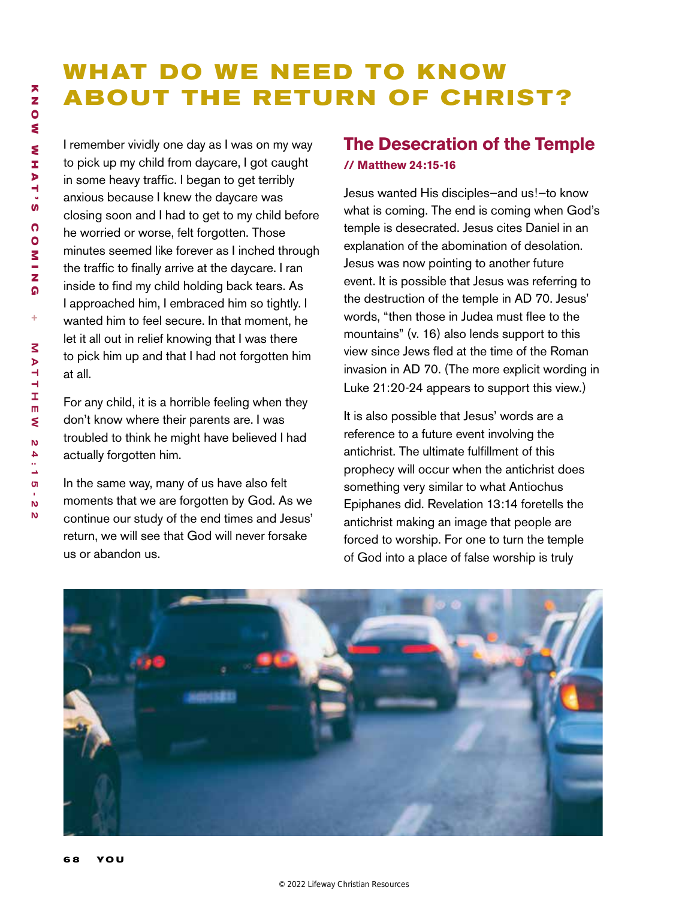# **WHAT DO WE NEED TO KNOW ABOUT THE RETURN OF CHRIST?**

I remember vividly one day as I was on my way to pick up my child from daycare, I got caught in some heavy traffic. I began to get terribly anxious because I knew the daycare was closing soon and I had to get to my child before he worried or worse, felt forgotten. Those minutes seemed like forever as I inched through the traffic to finally arrive at the daycare. I ran inside to find my child holding back tears. As I approached him, I embraced him so tightly. I wanted him to feel secure. In that moment, he let it all out in relief knowing that I was there to pick him up and that I had not forgotten him at all.

For any child, it is a horrible feeling when they don't know where their parents are. I was troubled to think he might have believed I had actually forgotten him.

In the same way, many of us have also felt moments that we are forgotten by God. As we continue our study of the end times and Jesus' return, we will see that God will never forsake us or abandon us.

# **The Desecration of the Temple // Matthew 24:15-16**

Jesus wanted His disciples—and us!—to know what is coming. The end is coming when God's temple is desecrated. Jesus cites Daniel in an explanation of the abomination of desolation. Jesus was now pointing to another future event. It is possible that Jesus was referring to the destruction of the temple in AD 70. Jesus' words, "then those in Judea must flee to the mountains" (v. 16) also lends support to this view since Jews fled at the time of the Roman invasion in AD 70. (The more explicit wording in Luke 21:20-24 appears to support this view.)

It is also possible that Jesus' words are a reference to a future event involving the antichrist. The ultimate fulfillment of this prophecy will occur when the antichrist does something very similar to what Antiochus Epiphanes did. Revelation 13:14 foretells the antichrist making an image that people are forced to worship. For one to turn the temple of God into a place of false worship is truly

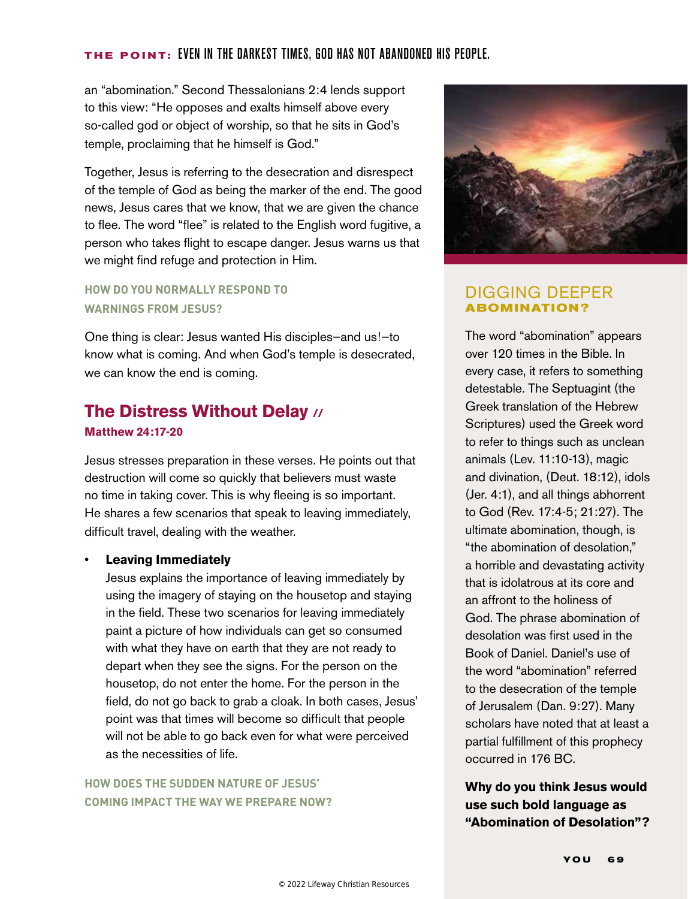#### **THE POINT:** Even in the darkest times, god has not abandoned his people.

an "abomination." Second Thessalonians 2:4 lends support to this view: "He opposes and exalts himself above every so-called god or object of worship, so that he sits in God's temple, proclaiming that he himself is God."

Together, Jesus is referring to the desecration and disrespect of the temple of God as being the marker of the end. The good news, Jesus cares that we know, that we are given the chance to flee. The word "flee" is related to the English word fugitive, a person who takes flight to escape danger. Jesus warns us that we might find refuge and protection in Him.

#### **HOW DO YOU NORMALLY RESPOND TO WARNINGS FROM JESUS?**

One thing is clear: Jesus wanted His disciples—and us!—to know what is coming. And when God's temple is desecrated, we can know the end is coming.

# **The Distress Without Delay // Matthew 24:17-20**

Jesus stresses preparation in these verses. He points out that destruction will come so quickly that believers must waste no time in taking cover. This is why fleeing is so important. He shares a few scenarios that speak to leaving immediately, difficult travel, dealing with the weather.

#### • **Leaving Immediately**

Jesus explains the importance of leaving immediately by using the imagery of staying on the housetop and staying in the field. These two scenarios for leaving immediately paint a picture of how individuals can get so consumed with what they have on earth that they are not ready to depart when they see the signs. For the person on the housetop, do not enter the home. For the person in the field, do not go back to grab a cloak. In both cases, Jesus' point was that times will become so difficult that people will not be able to go back even for what were perceived as the necessities of life.

## **HOW DOES THE SUDDEN NATURE OF JESUS' COMING IMPACT THE WAY WE PREPARE NOW?**



## DIGGING DEEPER **ABOMINATION?**

The word "abomination" appears over 120 times in the Bible. In every case, it refers to something detestable. The Septuagint (the Greek translation of the Hebrew Scriptures) used the Greek word to refer to things such as unclean animals (Lev. 11:10-13), magic and divination, (Deut. 18:12), idols (Jer. 4:1), and all things abhorrent to God (Rev. 17:4-5; 21:27). The ultimate abomination, though, is "the abomination of desolation," a horrible and devastating activity that is idolatrous at its core and an affront to the holiness of God. The phrase abomination of desolation was first used in the Book of Daniel. Daniel's use of the word "abomination" referred to the desecration of the temple of Jerusalem (Dan. 9:27). Many scholars have noted that at least a partial fulfillment of this prophecy occurred in 176 BC.

**Why do you think Jesus would use such bold language as "Abomination of Desolation"?**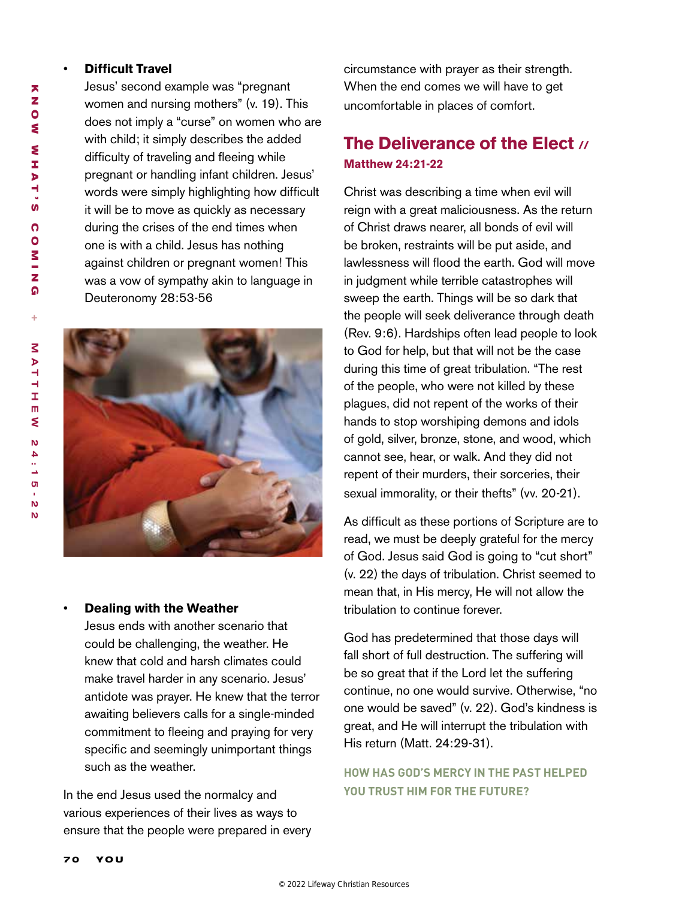#### • **Difficult Travel**

Jesus' second example was "pregnant women and nursing mothers" (v. 19). This does not imply a "curse" on women who are with child; it simply describes the added difficulty of traveling and fleeing while pregnant or handling infant children. Jesus' words were simply highlighting how difficult it will be to move as quickly as necessary during the crises of the end times when one is with a child. Jesus has nothing against children or pregnant women! This was a vow of sympathy akin to language in Deuteronomy 28:53-56



#### • **Dealing with the Weather**

Jesus ends with another scenario that could be challenging, the weather. He knew that cold and harsh climates could make travel harder in any scenario. Jesus' antidote was prayer. He knew that the terror awaiting believers calls for a single-minded commitment to fleeing and praying for very specific and seemingly unimportant things such as the weather.

In the end Jesus used the normalcy and various experiences of their lives as ways to ensure that the people were prepared in every circumstance with prayer as their strength. When the end comes we will have to get uncomfortable in places of comfort.

# **The Deliverance of the Elect // Matthew 24:21-22**

Christ was describing a time when evil will reign with a great maliciousness. As the return of Christ draws nearer, all bonds of evil will be broken, restraints will be put aside, and lawlessness will flood the earth. God will move in judgment while terrible catastrophes will sweep the earth. Things will be so dark that the people will seek deliverance through death (Rev. 9:6). Hardships often lead people to look to God for help, but that will not be the case during this time of great tribulation. "The rest of the people, who were not killed by these plagues, did not repent of the works of their hands to stop worshiping demons and idols of gold, silver, bronze, stone, and wood, which cannot see, hear, or walk. And they did not repent of their murders, their sorceries, their sexual immorality, or their thefts" (vv. 20-21).

As difficult as these portions of Scripture are to read, we must be deeply grateful for the mercy of God. Jesus said God is going to "cut short" (v. 22) the days of tribulation. Christ seemed to mean that, in His mercy, He will not allow the tribulation to continue forever.

God has predetermined that those days will fall short of full destruction. The suffering will be so great that if the Lord let the suffering continue, no one would survive. Otherwise, "no one would be saved" (v. 22). God's kindness is great, and He will interrupt the tribulation with His return (Matt. 24:29-31).

## **HOW HAS GOD'S MERCY IN THE PAST HELPED YOU TRUST HIM FOR THE FUTURE?**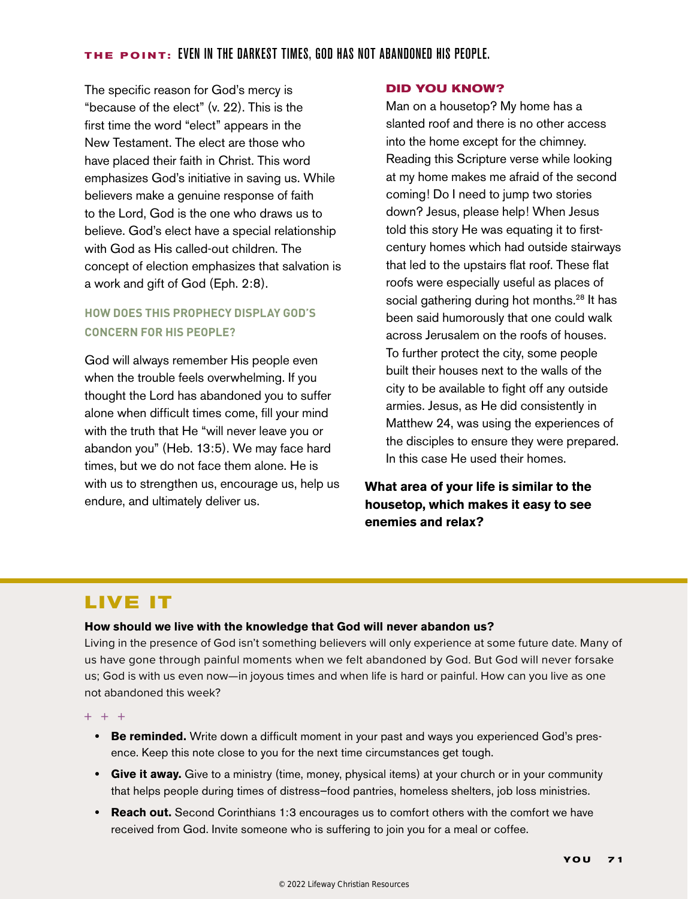#### **THE POINT:** Even in the darkest times, god has not abandoned his people.

The specific reason for God's mercy is "because of the elect" (v. 22). This is the first time the word "elect" appears in the New Testament. The elect are those who have placed their faith in Christ. This word emphasizes God's initiative in saving us. While believers make a genuine response of faith to the Lord, God is the one who draws us to believe. God's elect have a special relationship with God as His called-out children. The concept of election emphasizes that salvation is a work and gift of God (Eph. 2:8).

## **HOW DOES THIS PROPHECY DISPLAY GOD'S CONCERN FOR HIS PEOPLE?**

God will always remember His people even when the trouble feels overwhelming. If you thought the Lord has abandoned you to suffer alone when difficult times come, fill your mind with the truth that He "will never leave you or abandon you" (Heb. 13:5). We may face hard times, but we do not face them alone. He is with us to strengthen us, encourage us, help us endure, and ultimately deliver us.

#### **DID YOU KNOW?**

Man on a housetop? My home has a slanted roof and there is no other access into the home except for the chimney. Reading this Scripture verse while looking at my home makes me afraid of the second coming! Do I need to jump two stories down? Jesus, please help! When Jesus told this story He was equating it to firstcentury homes which had outside stairways that led to the upstairs flat roof. These flat roofs were especially useful as places of social gathering during hot months.<sup>28</sup> It has been said humorously that one could walk across Jerusalem on the roofs of houses. To further protect the city, some people built their houses next to the walls of the city to be available to fight off any outside armies. Jesus, as He did consistently in Matthew 24, was using the experiences of the disciples to ensure they were prepared. In this case He used their homes.

## **What area of your life is similar to the housetop, which makes it easy to see enemies and relax?**

# **LIVE IT**

#### **How should we live with the knowledge that God will never abandon us?**

Living in the presence of God isn't something believers will only experience at some future date. Many of us have gone through painful moments when we felt abandoned by God. But God will never forsake us; God is with us even now—in joyous times and when life is hard or painful. How can you live as one not abandoned this week?

 $+ + +$ 

- **• Be reminded.** Write down a difficult moment in your past and ways you experienced God's presence. Keep this note close to you for the next time circumstances get tough.
- **• Give it away.** Give to a ministry (time, money, physical items) at your church or in your community that helps people during times of distress—food pantries, homeless shelters, job loss ministries.
- **• Reach out.** Second Corinthians 1:3 encourages us to comfort others with the comfort we have received from God. Invite someone who is suffering to join you for a meal or coffee.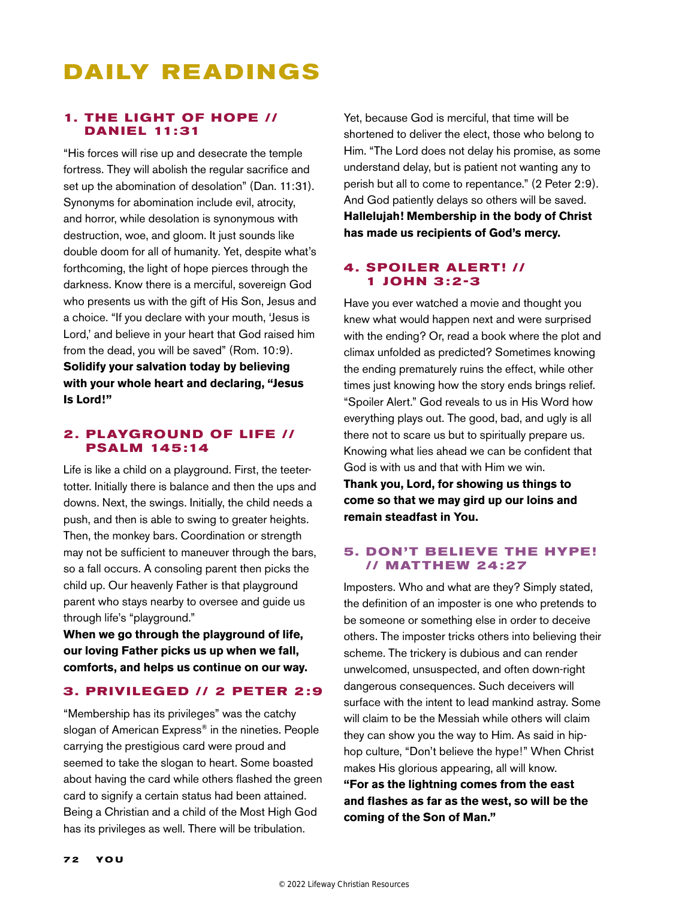# **DA ILY READ INGS**

#### **1. THE LIGHT OF HOPE // DANIEL 11:31**

"His forces will rise up and desecrate the temple fortress. They will abolish the regular sacrifice and set up the abomination of desolation" (Dan. 11:31). Synonyms for abomination include evil, atrocity, and horror, while desolation is synonymous with destruction, woe, and gloom. It just sounds like double doom for all of humanity. Yet, despite what's forthcoming, the light of hope pierces through the darkness. Know there is a merciful, sovereign God who presents us with the gift of His Son, Jesus and a choice. "If you declare with your mouth, 'Jesus is Lord,' and believe in your heart that God raised him from the dead, you will be saved" (Rom. 10:9). **Solidify your salvation today by believing with your whole heart and declaring, "Jesus Is Lord!"**

#### **2. PLAYGROUND OF LIFE // PSALM 145 :14**

Life is like a child on a playground. First, the teetertotter. Initially there is balance and then the ups and downs. Next, the swings. Initially, the child needs a push, and then is able to swing to greater heights. Then, the monkey bars. Coordination or strength may not be sufficient to maneuver through the bars, so a fall occurs. A consoling parent then picks the child up. Our heavenly Father is that playground parent who stays nearby to oversee and guide us through life's "playground."

**When we go through the playground of life, our loving Father picks us up when we fall, comforts, and helps us continue on our way.**

#### **3. PRIVILEGED // 2 PETER 2:9**

"Membership has its privileges" was the catchy slogan of American Express<sup>®</sup> in the nineties. People carrying the prestigious card were proud and seemed to take the slogan to heart. Some boasted about having the card while others flashed the green card to signify a certain status had been attained. Being a Christian and a child of the Most High God has its privileges as well. There will be tribulation.

Yet, because God is merciful, that time will be shortened to deliver the elect, those who belong to Him. "The Lord does not delay his promise, as some understand delay, but is patient not wanting any to perish but all to come to repentance." (2 Peter 2:9). And God patiently delays so others will be saved. **Hallelujah! Membership in the body of Christ has made us recipients of God's mercy.**

#### **4. SPOILER ALERT! // 1 JOHN 3:2-3**

Have you ever watched a movie and thought you knew what would happen next and were surprised with the ending? Or, read a book where the plot and climax unfolded as predicted? Sometimes knowing the ending prematurely ruins the effect, while other times just knowing how the story ends brings relief. "Spoiler Alert." God reveals to us in His Word how everything plays out. The good, bad, and ugly is all there not to scare us but to spiritually prepare us. Knowing what lies ahead we can be confident that God is with us and that with Him we win.

**Thank you, Lord, for showing us things to come so that we may gird up our loins and remain steadfast in You.**

#### **5. DON'T BELIEVE THE HYPE! // MATTHEW 24 :27**

Imposters. Who and what are they? Simply stated, the definition of an imposter is one who pretends to be someone or something else in order to deceive others. The imposter tricks others into believing their scheme. The trickery is dubious and can render unwelcomed, unsuspected, and often down-right dangerous consequences. Such deceivers will surface with the intent to lead mankind astray. Some will claim to be the Messiah while others will claim they can show you the way to Him. As said in hiphop culture, "Don't believe the hype!" When Christ makes His glorious appearing, all will know. **"For as the lightning comes from the east and flashes as far as the west, so will be the** 

**coming of the Son of Man."**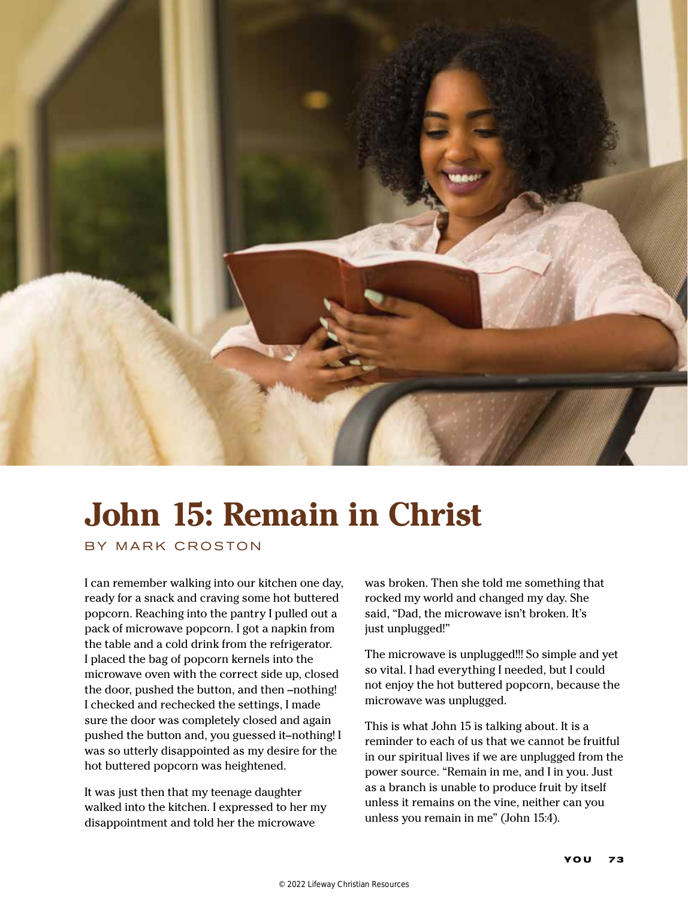

# **John 15: Remain in Christ**

BY MARK CROSTON

I can remember walking into our kitchen one day, ready for a snack and craving some hot buttered popcorn. Reaching into the pantry I pulled out a pack of microwave popcorn. I got a napkin from the table and a cold drink from the refrigerator. I placed the bag of popcorn kernels into the microwave oven with the correct side up, closed the door, pushed the button, and then –nothing! I checked and rechecked the settings, I made sure the door was completely closed and again pushed the button and, you guessed it–nothing! I was so utterly disappointed as my desire for the hot buttered popcorn was heightened.

It was just then that my teenage daughter walked into the kitchen. I expressed to her my disappointment and told her the microwave

was broken. Then she told me something that rocked my world and changed my day. She said, "Dad, the microwave isn't broken. It's just unplugged!"

The microwave is unplugged!!! So simple and yet so vital. I had everything I needed, but I could not enjoy the hot buttered popcorn, because the microwave was unplugged.

This is what John 15 is talking about. It is a reminder to each of us that we cannot be fruitful in our spiritual lives if we are unplugged from the power source. "Remain in me, and I in you. Just as a branch is unable to produce fruit by itself unless it remains on the vine, neither can you unless you remain in me" (John 15:4).